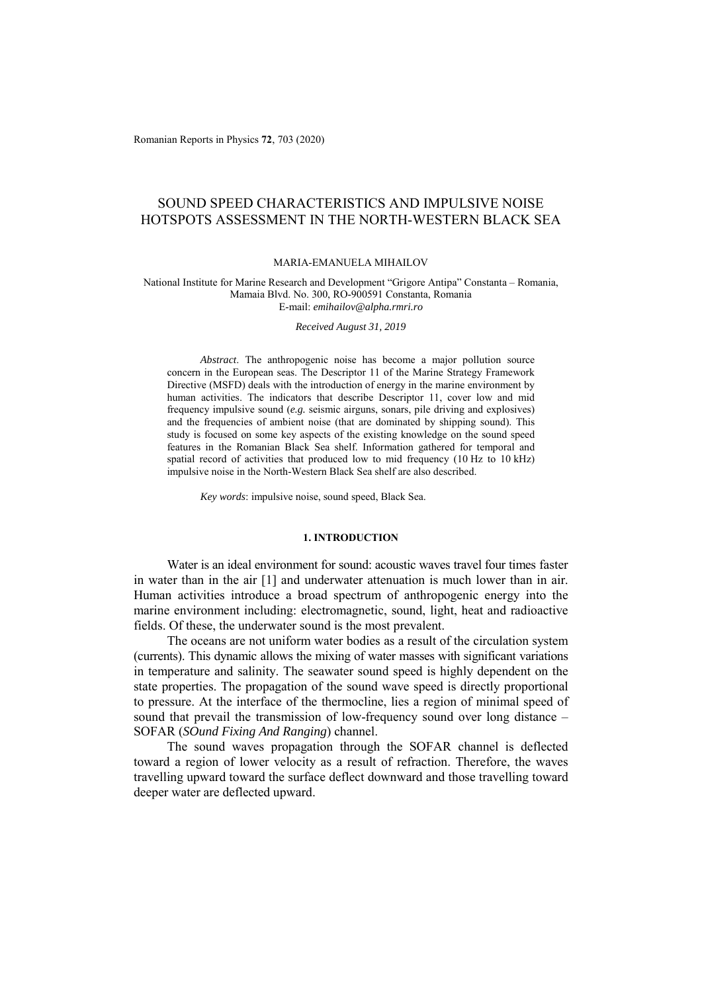Romanian Reports in Physics **72**, 703 (2020)

# SOUND SPEED CHARACTERISTICS AND IMPULSIVE NOISE HOTSPOTS ASSESSMENT IN THE NORTH-WESTERN BLACK SEA

### MARIA-EMANUELA MIHAILOV

National Institute for Marine Research and Development "Grigore Antipa" Constanta – Romania, Mamaia Blvd. No. 300, RO-900591 Constanta, Romania E-mail: *emihailov@alpha.rmri.ro*

*Received August 31, 2019* 

*Abstract*. The anthropogenic noise has become a major pollution source concern in the European seas. The Descriptor 11 of the Marine Strategy Framework Directive (MSFD) deals with the introduction of energy in the marine environment by human activities. The indicators that describe Descriptor 11, cover low and mid frequency impulsive sound (*e.g.* seismic airguns, sonars, pile driving and explosives) and the frequencies of ambient noise (that are dominated by shipping sound). This study is focused on some key aspects of the existing knowledge on the sound speed features in the Romanian Black Sea shelf. Information gathered for temporal and spatial record of activities that produced low to mid frequency (10 Hz to 10 kHz) impulsive noise in the North-Western Black Sea shelf are also described.

*Key words*: impulsive noise, sound speed, Black Sea.

## **1. INTRODUCTION**

Water is an ideal environment for sound: acoustic waves travel four times faster in water than in the air [1] and underwater attenuation is much lower than in air. Human activities introduce a broad spectrum of anthropogenic energy into the marine environment including: electromagnetic, sound, light, heat and radioactive fields. Of these, the underwater sound is the most prevalent.

The oceans are not uniform water bodies as a result of the circulation system (currents). This dynamic allows the mixing of water masses with significant variations in temperature and salinity. The seawater sound speed is highly dependent on the state properties. The propagation of the sound wave speed is directly proportional to pressure. At the interface of the thermocline, lies a region of minimal speed of sound that prevail the transmission of low-frequency sound over long distance – SOFAR (*SOund Fixing And Ranging*) channel.

The sound waves propagation through the SOFAR channel is deflected toward a region of lower velocity as a result of refraction. Therefore, the waves travelling upward toward the surface deflect downward and those travelling toward deeper water are deflected upward.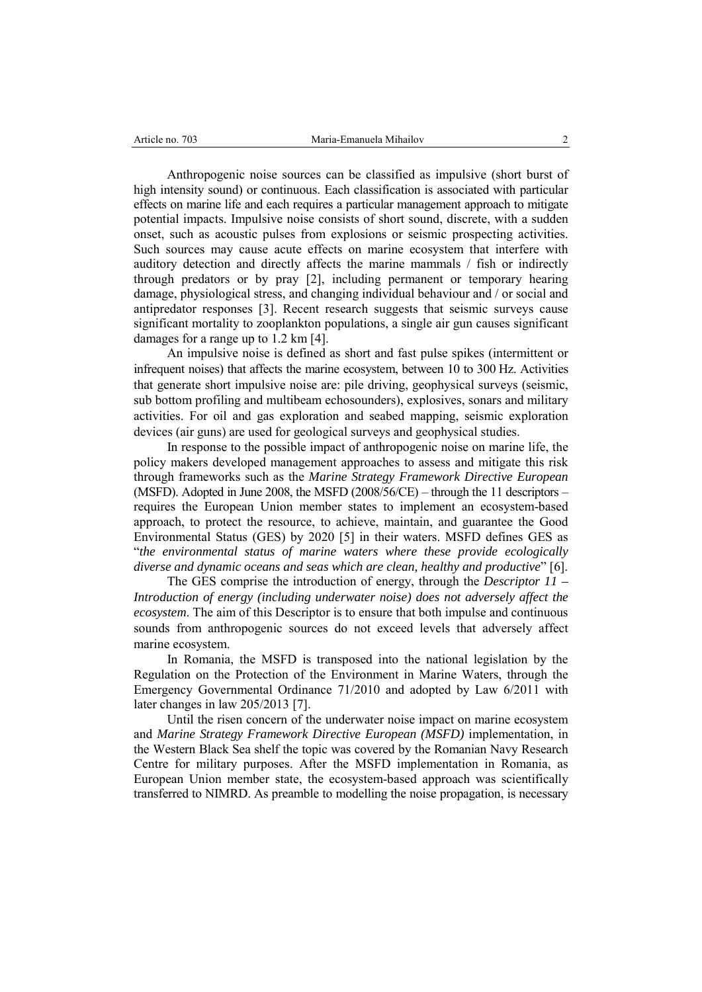Anthropogenic noise sources can be classified as impulsive (short burst of high intensity sound) or continuous. Each classification is associated with particular effects on marine life and each requires a particular management approach to mitigate potential impacts. Impulsive noise consists of short sound, discrete, with a sudden onset, such as acoustic pulses from explosions or seismic prospecting activities. Such sources may cause acute effects on marine ecosystem that interfere with auditory detection and directly affects the marine mammals / fish or indirectly through predators or by pray [2], including permanent or temporary hearing damage, physiological stress, and changing individual behaviour and / or social and antipredator responses [3]. Recent research suggests that seismic surveys cause significant mortality to zooplankton populations, a single air gun causes significant damages for a range up to 1.2 km [4].

An impulsive noise is defined as short and fast pulse spikes (intermittent or infrequent noises) that affects the marine ecosystem, between 10 to 300 Hz. Activities that generate short impulsive noise are: pile driving, geophysical surveys (seismic, sub bottom profiling and multibeam echosounders), explosives, sonars and military activities. For oil and gas exploration and seabed mapping, seismic exploration devices (air guns) are used for geological surveys and geophysical studies.

In response to the possible impact of anthropogenic noise on marine life, the policy makers developed management approaches to assess and mitigate this risk through frameworks such as the *Marine Strategy Framework Directive European*  (MSFD). Adopted in June 2008, the MSFD  $(2008/56/CE)$  – through the 11 descriptors – requires the European Union member states to implement an ecosystem-based approach, to protect the resource, to achieve, maintain, and guarantee the Good Environmental Status (GES) by 2020 [5] in their waters. MSFD defines GES as "*the environmental status of marine waters where these provide ecologically diverse and dynamic oceans and seas which are clean, healthy and productive*" [6].

The GES comprise the introduction of energy, through the *Descriptor 11 – Introduction of energy (including underwater noise) does not adversely affect the ecosystem*. The aim of this Descriptor is to ensure that both impulse and continuous sounds from anthropogenic sources do not exceed levels that adversely affect marine ecosystem.

In Romania, the MSFD is transposed into the national legislation by the Regulation on the Protection of the Environment in Marine Waters, through the Emergency Governmental Ordinance 71/2010 and adopted by Law 6/2011 with later changes in law 205/2013 [7].

Until the risen concern of the underwater noise impact on marine ecosystem and *Marine Strategy Framework Directive European (MSFD)* implementation, in the Western Black Sea shelf the topic was covered by the Romanian Navy Research Centre for military purposes. After the MSFD implementation in Romania, as European Union member state, the ecosystem-based approach was scientifically transferred to NIMRD. As preamble to modelling the noise propagation, is necessary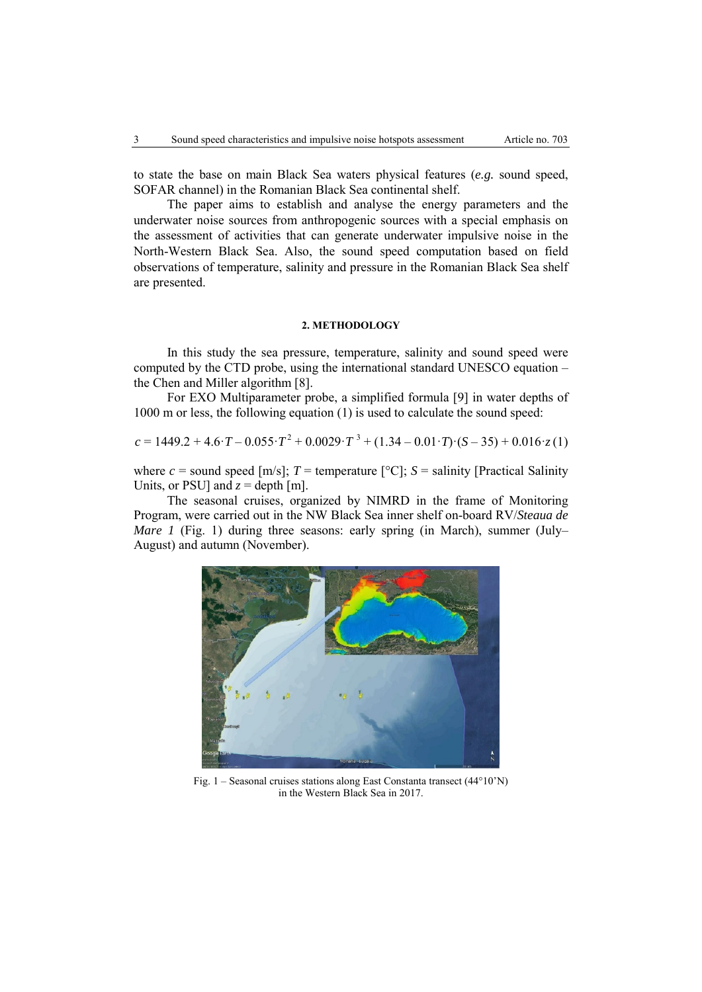to state the base on main Black Sea waters physical features (*e.g.* sound speed, SOFAR channel) in the Romanian Black Sea continental shelf.

The paper aims to establish and analyse the energy parameters and the underwater noise sources from anthropogenic sources with a special emphasis on the assessment of activities that can generate underwater impulsive noise in the North-Western Black Sea. Also, the sound speed computation based on field observations of temperature, salinity and pressure in the Romanian Black Sea shelf are presented.

## **2. METHODOLOGY**

In this study the sea pressure, temperature, salinity and sound speed were computed by the CTD probe, using the international standard UNESCO equation – the Chen and Miller algorithm [8].

For EXO Multiparameter probe, a simplified formula [9] in water depths of 1000 m or less, the following equation (1) is used to calculate the sound speed:

$$
c = 1449.2 + 4.6 \cdot T - 0.055 \cdot T^2 + 0.0029 \cdot T^3 + (1.34 - 0.01 \cdot T) \cdot (S - 35) + 0.016 \cdot z(1)
$$

where  $c =$  sound speed  $[m/s]$ ;  $T =$  temperature  $[°C]$ ;  $S =$  salinity [Practical Salinity Units, or PSU] and  $z =$  depth [m].

The seasonal cruises, organized by NIMRD in the frame of Monitoring Program, were carried out in the NW Black Sea inner shelf on-board RV/*Steaua de Mare 1* (Fig. 1) during three seasons: early spring (in March), summer (July– August) and autumn (November).



Fig. 1 – Seasonal cruises stations along East Constanta transect (44°10'N) in the Western Black Sea in 2017.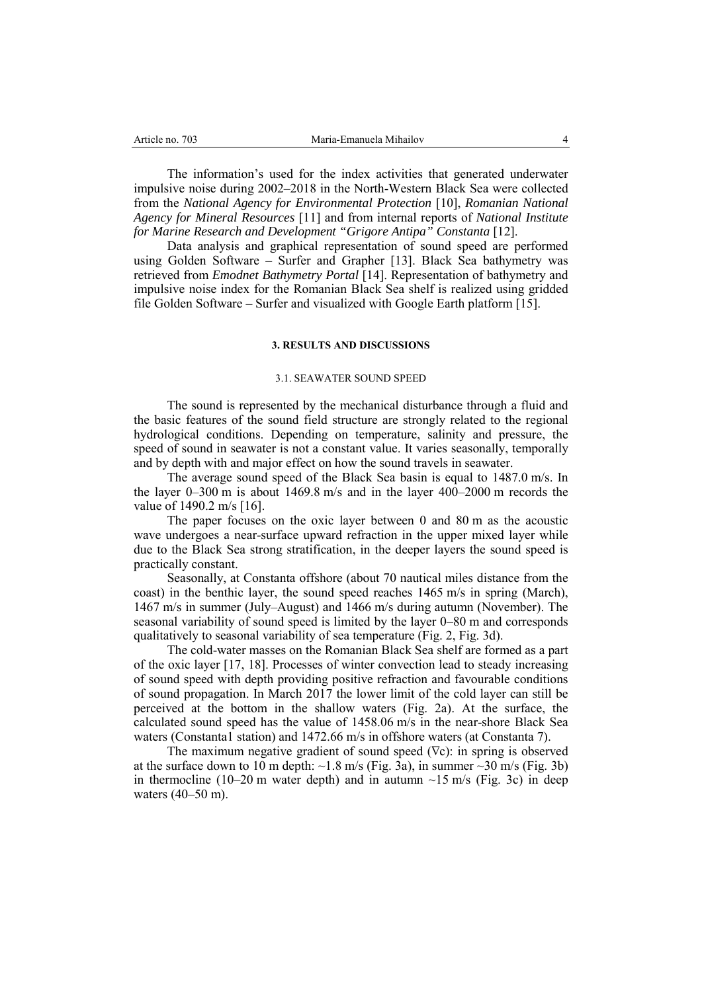The information's used for the index activities that generated underwater impulsive noise during 2002–2018 in the North-Western Black Sea were collected from the *National Agency for Environmental Protection* [10], *Romanian National Agency for Mineral Resources* [11] and from internal reports of *National Institute for Marine Research and Development "Grigore Antipa" Constanta* [12].

Data analysis and graphical representation of sound speed are performed using Golden Software – Surfer and Grapher [13]. Black Sea bathymetry was retrieved from *Emodnet Bathymetry Portal* [14]. Representation of bathymetry and impulsive noise index for the Romanian Black Sea shelf is realized using gridded file Golden Software – Surfer and visualized with Google Earth platform [15].

## **3. RESULTS AND DISCUSSIONS**

### 3.1. SEAWATER SOUND SPEED

The sound is represented by the mechanical disturbance through a fluid and the basic features of the sound field structure are strongly related to the regional hydrological conditions. Depending on temperature, salinity and pressure, the speed of sound in seawater is not a constant value. It varies seasonally, temporally and by depth with and major effect on how the sound travels in seawater.

The average sound speed of the Black Sea basin is equal to 1487.0 m/s. In the layer 0–300 m is about 1469.8 m/s and in the layer 400–2000 m records the value of 1490.2 m/s [16].

The paper focuses on the oxic layer between 0 and 80 m as the acoustic wave undergoes a near-surface upward refraction in the upper mixed layer while due to the Black Sea strong stratification, in the deeper layers the sound speed is practically constant.

Seasonally, at Constanta offshore (about 70 nautical miles distance from the coast) in the benthic layer, the sound speed reaches 1465 m/s in spring (March), 1467 m/s in summer (July–August) and 1466 m/s during autumn (November). The seasonal variability of sound speed is limited by the layer 0–80 m and corresponds qualitatively to seasonal variability of sea temperature (Fig. 2, Fig. 3d).

The cold-water masses on the Romanian Black Sea shelf are formed as a part of the oxic layer [17, 18]. Processes of winter convection lead to steady increasing of sound speed with depth providing positive refraction and favourable conditions of sound propagation. In March 2017 the lower limit of the cold layer can still be perceived at the bottom in the shallow waters (Fig. 2a). At the surface, the calculated sound speed has the value of 1458.06 m/s in the near-shore Black Sea waters (Constanta1 station) and 1472.66 m/s in offshore waters (at Constanta 7).

The maximum negative gradient of sound speed (∇c): in spring is observed at the surface down to 10 m depth:  $\sim$ 1.8 m/s (Fig. 3a), in summer  $\sim$ 30 m/s (Fig. 3b) in thermocline (10–20 m water depth) and in autumn  $\sim$ 15 m/s (Fig. 3c) in deep waters (40–50 m).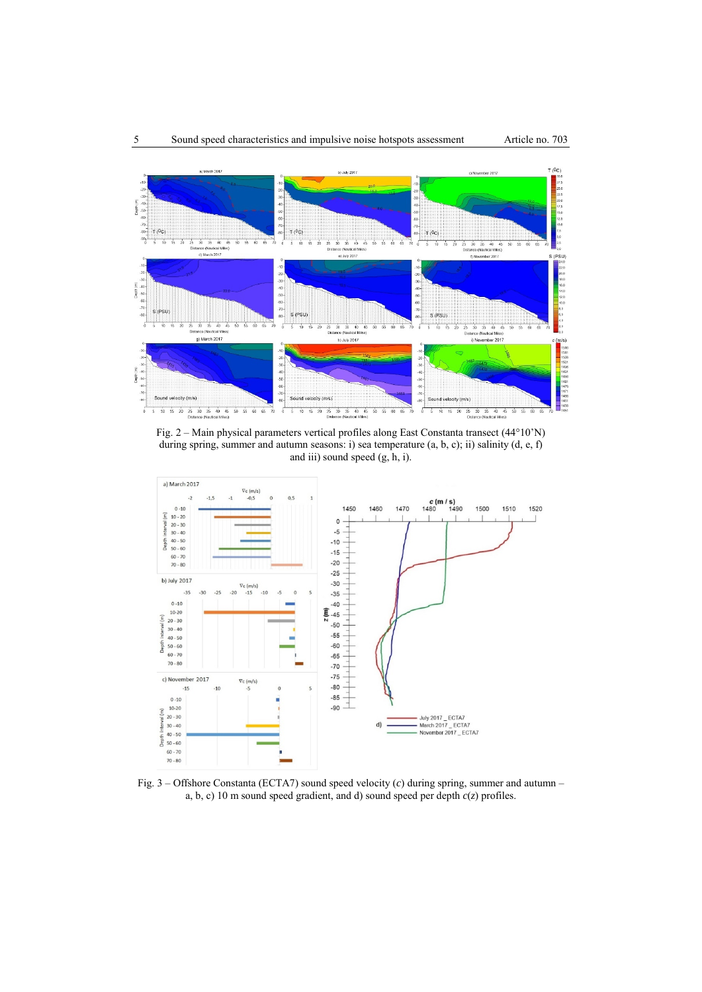

Fig. 2 – Main physical parameters vertical profiles along East Constanta transect (44°10'N) during spring, summer and autumn seasons: i) sea temperature (a, b, c); ii) salinity (d, e, f) and iii) sound speed  $(g, h, i)$ .



Fig. 3 – Offshore Constanta (ECTA7) sound speed velocity (*c*) during spring, summer and autumn – a, b, c) 10 m sound speed gradient, and d) sound speed per depth *c*(*z*) profiles.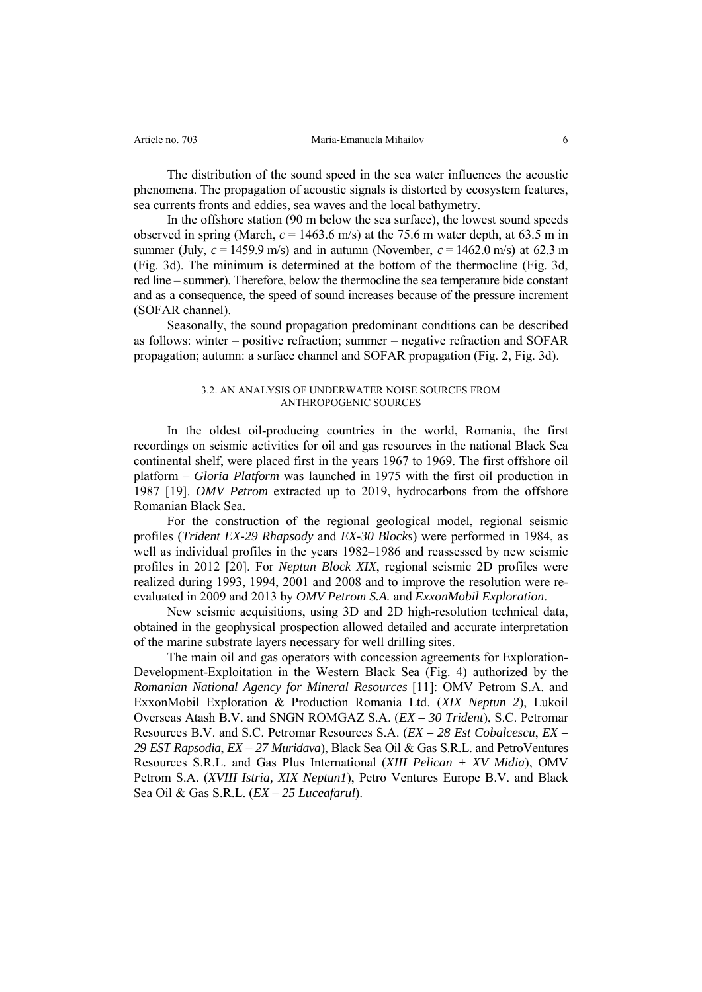The distribution of the sound speed in the sea water influences the acoustic phenomena. The propagation of acoustic signals is distorted by ecosystem features, sea currents fronts and eddies, sea waves and the local bathymetry.

In the offshore station (90 m below the sea surface), the lowest sound speeds observed in spring (March,  $c = 1463.6$  m/s) at the 75.6 m water depth, at 63.5 m in summer (July,  $c = 1459.9$  m/s) and in autumn (November,  $c = 1462.0$  m/s) at 62.3 m (Fig. 3d). The minimum is determined at the bottom of the thermocline (Fig. 3d, red line – summer). Therefore, below the thermocline the sea temperature bide constant and as a consequence, the speed of sound increases because of the pressure increment (SOFAR channel).

Seasonally, the sound propagation predominant conditions can be described as follows: winter – positive refraction; summer – negative refraction and SOFAR propagation; autumn: a surface channel and SOFAR propagation (Fig. 2, Fig. 3d).

#### 3.2. AN ANALYSIS OF UNDERWATER NOISE SOURCES FROM ANTHROPOGENIC SOURCES

In the oldest oil-producing countries in the world, Romania, the first recordings on seismic activities for oil and gas resources in the national Black Sea continental shelf, were placed first in the years 1967 to 1969. The first offshore oil platform – *Gloria Platform* was launched in 1975 with the first oil production in 1987 [19]. *OMV Petrom* extracted up to 2019, hydrocarbons from the offshore Romanian Black Sea.

For the construction of the regional geological model, regional seismic profiles (*Trident EX-29 Rhapsody* and *EX-30 Blocks*) were performed in 1984, as well as individual profiles in the years 1982–1986 and reassessed by new seismic profiles in 2012 [20]. For *Neptun Block XIX*, regional seismic 2D profiles were realized during 1993, 1994, 2001 and 2008 and to improve the resolution were reevaluated in 2009 and 2013 by *OMV Petrom S.A.* and *ExxonMobil Exploration*.

New seismic acquisitions, using 3D and 2D high-resolution technical data, obtained in the geophysical prospection allowed detailed and accurate interpretation of the marine substrate layers necessary for well drilling sites.

The main oil and gas operators with concession agreements for Exploration-Development-Exploitation in the Western Black Sea (Fig. 4) authorized by the *Romanian National Agency for Mineral Resources* [11]: OMV Petrom S.A. and ExxonMobil Exploration & Production Romania Ltd. (*XIX Neptun 2*), Lukoil Overseas Atash B.V. and SNGN ROMGAZ S.A. (*EX – 30 Trident*), S.C. Petromar Resources B.V. and S.C. Petromar Resources S.A. (*EX – 28 Est Cobalcescu*, *EX – 29 EST Rapsodia*, *EX – 27 Muridava*), Black Sea Oil & Gas S.R.L. and PetroVentures Resources S.R.L. and Gas Plus International (*XIII Pelican + XV Midia*), OMV Petrom S.A. (*XVIII Istria, XIX Neptun1*), Petro Ventures Europe B.V. and Black Sea Oil & Gas S.R.L. (*EX – 25 Luceafarul*).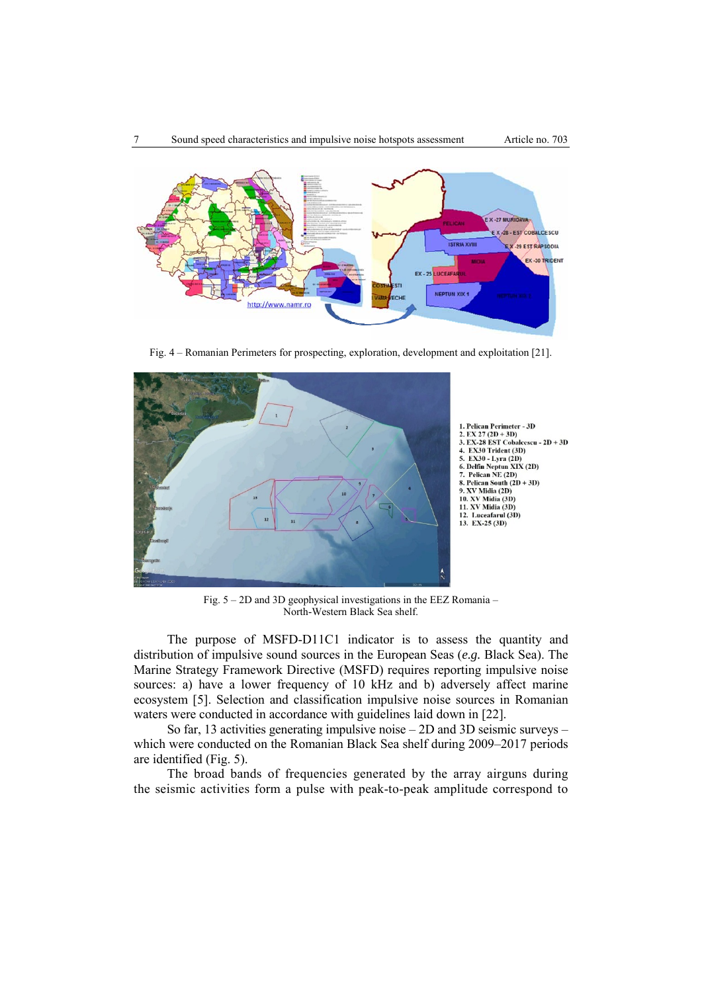



Fig. 4 – Romanian Perimeters for prospecting, exploration, development and exploitation [21].



Fig. 5 – 2D and 3D geophysical investigations in the EEZ Romania – North-Western Black Sea shelf.

The purpose of MSFD-D11C1 indicator is to assess the quantity and distribution of impulsive sound sources in the European Seas (*e.g.* Black Sea). The Marine Strategy Framework Directive (MSFD) requires reporting impulsive noise sources: a) have a lower frequency of 10 kHz and b) adversely affect marine ecosystem [5]. Selection and classification impulsive noise sources in Romanian waters were conducted in accordance with guidelines laid down in [22].

So far, 13 activities generating impulsive noise – 2D and 3D seismic surveys – which were conducted on the Romanian Black Sea shelf during 2009–2017 periods are identified (Fig. 5).

The broad bands of frequencies generated by the array airguns during the seismic activities form a pulse with peak-to-peak amplitude correspond to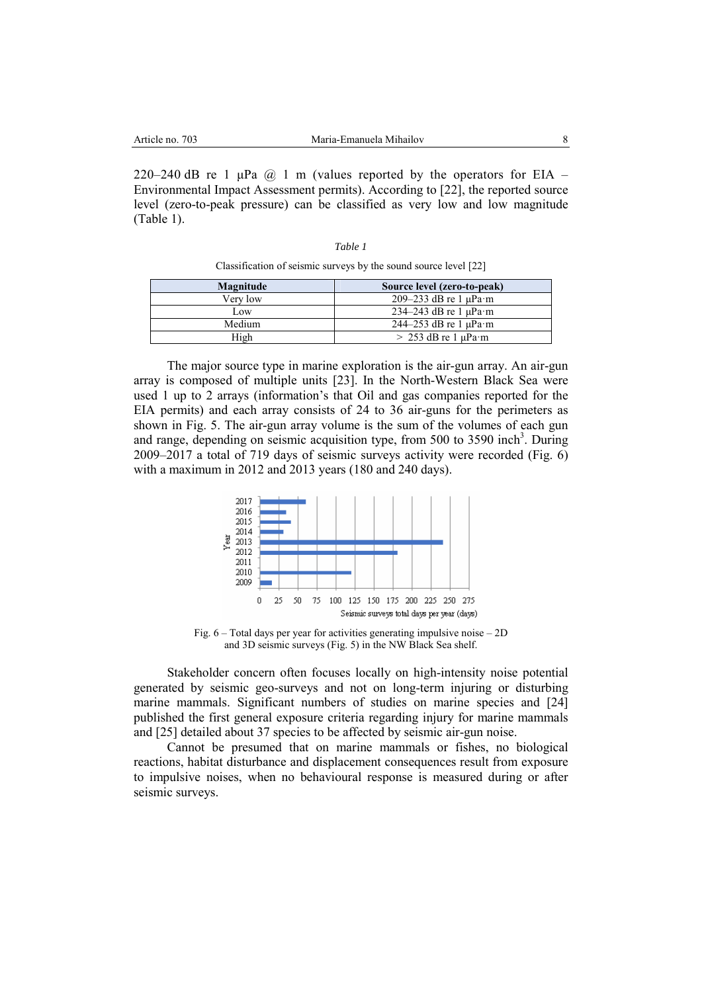220–240 dB re 1  $\mu$ Pa  $\omega$  1 m (values reported by the operators for EIA – Environmental Impact Assessment permits). According to [22], the reported source level (zero-to-peak pressure) can be classified as very low and low magnitude (Table 1).

> *Table 1*  Classification of seismic surveys by the sound source level [22]

| Magnitude | Source level (zero-to-peak)  |
|-----------|------------------------------|
| Verv low  | 209–233 dB re 1 $\mu$ Pa·m   |
| Low       | 234–243 dB re 1 $\mu$ Pa·m   |
| Medium    | $244-253$ dB re 1 $\mu$ Pa·m |
| High      | $> 253$ dB re 1 $\mu$ Pa·m   |

The major source type in marine exploration is the air-gun array. An air-gun array is composed of multiple units [23]. In the North-Western Black Sea were used 1 up to 2 arrays (information's that Oil and gas companies reported for the EIA permits) and each array consists of 24 to 36 air-guns for the perimeters as shown in Fig. 5. The air-gun array volume is the sum of the volumes of each gun and range, depending on seismic acquisition type, from 500 to 3590 inch<sup>3</sup>. During 2009–2017 a total of 719 days of seismic surveys activity were recorded (Fig. 6) with a maximum in 2012 and 2013 years (180 and 240 days).



Fig. 6 – Total days per year for activities generating impulsive noise – 2D and 3D seismic surveys (Fig. 5) in the NW Black Sea shelf.

Stakeholder concern often focuses locally on high-intensity noise potential generated by seismic geo-surveys and not on long-term injuring or disturbing marine mammals. Significant numbers of studies on marine species and [24] published the first general exposure criteria regarding injury for marine mammals and [25] detailed about 37 species to be affected by seismic air-gun noise.

Cannot be presumed that on marine mammals or fishes, no biological reactions, habitat disturbance and displacement consequences result from exposure to impulsive noises, when no behavioural response is measured during or after seismic surveys.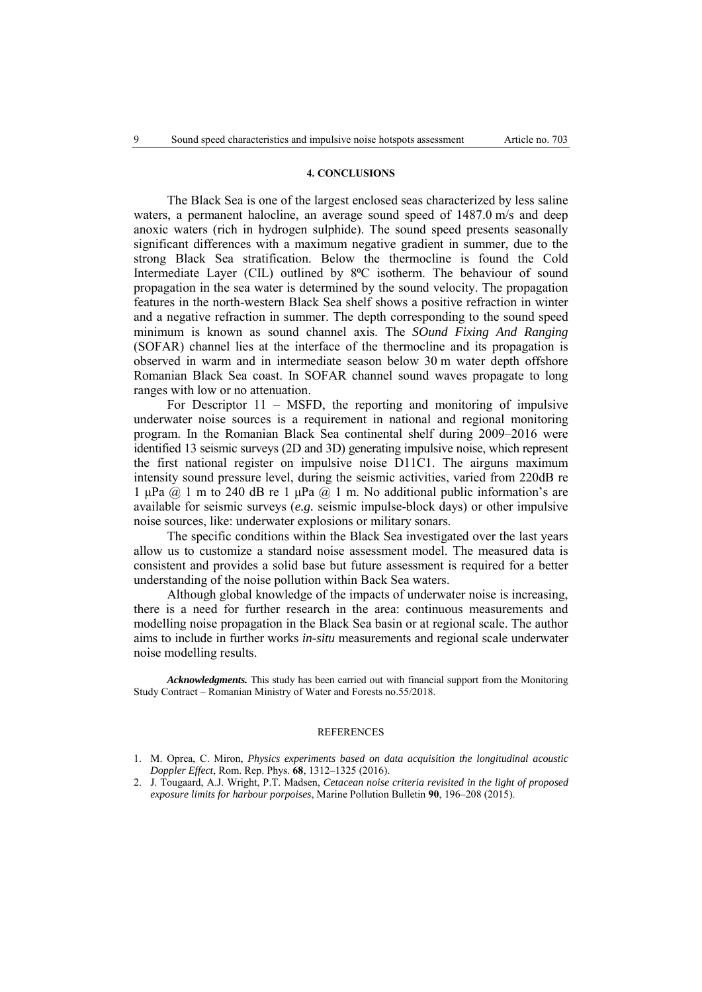## **4. CONCLUSIONS**

The Black Sea is one of the largest enclosed seas characterized by less saline waters, a permanent halocline, an average sound speed of 1487.0 m/s and deep anoxic waters (rich in hydrogen sulphide). The sound speed presents seasonally significant differences with a maximum negative gradient in summer, due to the strong Black Sea stratification. Below the thermocline is found the Cold Intermediate Layer (CIL) outlined by 8<sup>o</sup>C isotherm. The behaviour of sound propagation in the sea water is determined by the sound velocity. The propagation features in the north-western Black Sea shelf shows a positive refraction in winter and a negative refraction in summer. The depth corresponding to the sound speed minimum is known as sound channel axis. The *SOund Fixing And Ranging* (SOFAR) channel lies at the interface of the thermocline and its propagation is observed in warm and in intermediate season below 30 m water depth offshore Romanian Black Sea coast. In SOFAR channel sound waves propagate to long ranges with low or no attenuation.

For Descriptor 11 – MSFD, the reporting and monitoring of impulsive underwater noise sources is a requirement in national and regional monitoring program. In the Romanian Black Sea continental shelf during 2009–2016 were identified 13 seismic surveys (2D and 3D) generating impulsive noise, which represent the first national register on impulsive noise D11C1. The airguns maximum intensity sound pressure level, during the seismic activities, varied from 220dB re 1 μPa @ 1 m to 240 dB re 1 μPa @ 1 m. No additional public information's are available for seismic surveys (*e.g.* seismic impulse-block days) or other impulsive noise sources, like: underwater explosions or military sonars.

The specific conditions within the Black Sea investigated over the last years allow us to customize a standard noise assessment model. The measured data is consistent and provides a solid base but future assessment is required for a better understanding of the noise pollution within Back Sea waters.

Although global knowledge of the impacts of underwater noise is increasing, there is a need for further research in the area: continuous measurements and modelling noise propagation in the Black Sea basin or at regional scale. The author aims to include in further works *in-situ* measurements and regional scale underwater noise modelling results.

*Acknowledgments.* This study has been carried out with financial support from the Monitoring Study Contract – Romanian Ministry of Water and Forests no.55/2018.

#### **REFERENCES**

2. J. Tougaard, A.J. Wright, P.T. Madsen, *Cetacean noise criteria revisited in the light of proposed exposure limits for harbour porpoises*, Marine Pollution Bulletin **90**, 196–208 (2015).

<sup>1.</sup> M. Oprea, C. Miron, *Physics experiments based on data acquisition the longitudinal acoustic Doppler Effect*, Rom. Rep. Phys. **68**, 1312–1325 (2016).